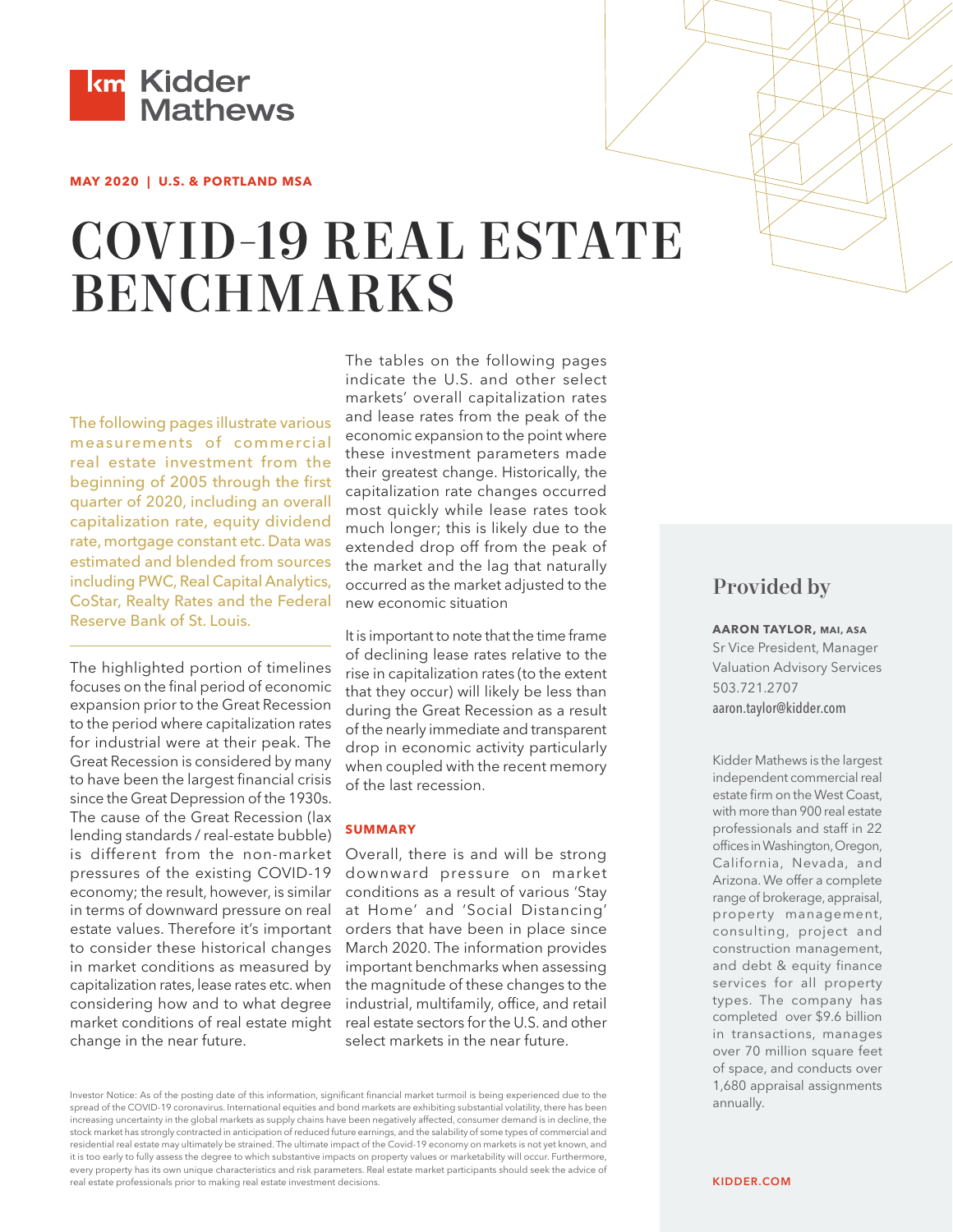

#### **MAY 2020 | U.S. & PORTLAND MSA**

# COVID-19 REAL ESTATE BENCHMARKS

The following pages illustrate various measurements of commercial real estate investment from the beginning of 2005 through the first quarter of 2020, including an overall capitalization rate, equity dividend rate, mortgage constant etc. Data was estimated and blended from sources including PWC, Real Capital Analytics, CoStar, Realty Rates and the Federal Reserve Bank of St. Louis.

The highlighted portion of timelines focuses on the final period of economic expansion prior to the Great Recession to the period where capitalization rates for industrial were at their peak. The Great Recession is considered by many to have been the largest financial crisis since the Great Depression of the 1930s. The cause of the Great Recession (lax lending standards / real-estate bubble) is different from the non-market pressures of the existing COVID-19 economy; the result, however, is similar in terms of downward pressure on real estate values. Therefore it's important to consider these historical changes in market conditions as measured by capitalization rates, lease rates etc. when considering how and to what degree market conditions of real estate might change in the near future.

The tables on the following pages indicate the U.S. and other select markets' overall capitalization rates and lease rates from the peak of the economic expansion to the point where these investment parameters made their greatest change. Historically, the capitalization rate changes occurred most quickly while lease rates took much longer; this is likely due to the extended drop off from the peak of the market and the lag that naturally occurred as the market adjusted to the new economic situation

It is important to note that the time frame of declining lease rates relative to the rise in capitalization rates (to the extent that they occur) will likely be less than during the Great Recession as a result of the nearly immediate and transparent drop in economic activity particularly when coupled with the recent memory of the last recession.

#### **SUMMARY**

Overall, there is and will be strong downward pressure on market conditions as a result of various 'Stay at Home' and 'Social Distancing' orders that have been in place since March 2020. The information provides important benchmarks when assessing the magnitude of these changes to the industrial, multifamily, office, and retail real estate sectors for the U.S. and other select markets in the near future.

Investor Notice: As of the posting date of this information, significant financial market turmoil is being experienced due to the spread of the COVID-19 coronavirus. International equities and bond markets are exhibiting substantial volatility, there has been increasing uncertainty in the global markets as supply chains have been negatively affected, consumer demand is in decline, the stock market has strongly contracted in anticipation of reduced future earnings, and the salability of some types of commercial and residential real estate may ultimately be strained. The ultimate impact of the Covid-19 economy on markets is not yet known, and it is too early to fully assess the degree to which substantive impacts on property values or marketability will occur. Furthermore, every property has its own unique characteristics and risk parameters. Real estate market participants should seek the advice of real estate professionals prior to making real estate investment decisions.

# Provided by

**AARON TAYLOR, MAI, ASA** Sr Vice President, Manager [Valuation Advisory Services](mailto:aaron.taylor%40kidder.com?subject=) 503.721.2707 aaron.taylor@kidder.com

Kidder Mathews is the largest independent commercial real estate firm on the West Coast, with more than 900 real estate professionals and staff in 22 offices in Washington, Oregon, California, Nevada, and Arizona. We offer a complete range of brokerage, appraisal, property management, consulting, project and construction management, and debt & equity finance services for all property types. The company has completed over \$9.6 billion in transactions, manages over 70 million square feet of space, and conducts over 1,680 appraisal assignments annually.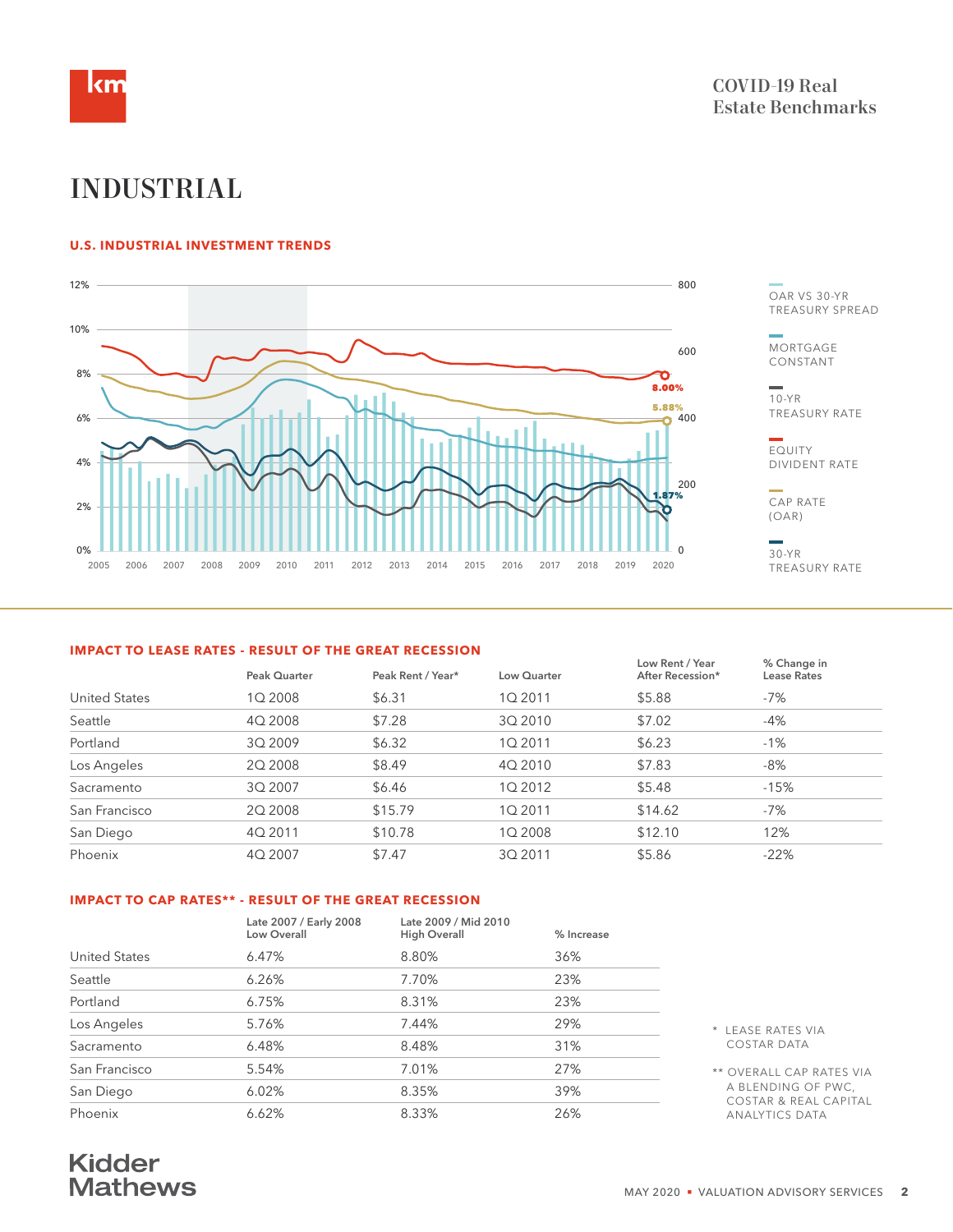

# INDUSTRIAL

#### **U.S. INDUSTRIAL INVESTMENT TRENDS**



**Mortgage Constant Capitalization Rate (OAR)**

OAR VS 30-YR TREASURY SPREAD

**MORTGAGE** CONSTANT

10-YR TREASURY RATE

EQUITY DIVIDENT RATE

CAP RATE (OAR)

30-YR TREASURY RATE

#### **IMPACT TO LEASE RATES - RESULT OF THE GREAT RECESSION**

|                      |              |                   |             | Low Rent / Year  | % Change in        |
|----------------------|--------------|-------------------|-------------|------------------|--------------------|
|                      | Peak Quarter | Peak Rent / Year* | Low Quarter | After Recession* | <b>Lease Rates</b> |
| <b>United States</b> | 1Q 2008      | \$6.31            | 1Q 2011     | \$5.88           | -7%                |
| Seattle              | 4Q 2008      | \$7.28            | 3Q 2010     | \$7.02           | -4%                |
| Portland             | 3Q 2009      | \$6.32            | 1Q 2011     | \$6.23           | $-1%$              |
| Los Angeles          | 20 2008      | \$8.49            | 4Q 2010     | \$7.83           | $-8%$              |
| Sacramento           | 3Q 2007      | \$6.46            | 1Q 2012     | \$5.48           | $-15%$             |
| San Francisco        | 2Q 2008      | \$15.79           | 1Q 2011     | \$14.62          | -7%                |
| San Diego            | 4Q 2011      | \$10.78           | 1Q 2008     | \$12.10          | 12%                |
| Phoenix              | 4Q 2007      | \$7.47            | 3Q 2011     | \$5.86           | $-22%$             |
|                      |              |                   |             |                  |                    |

#### **IMPACT TO CAP RATES\*\* - RESULT OF THE GREAT RECESSION**

|                      | Late 2007 / Early 2008<br>Low Overall | Late 2009 / Mid 2010<br><b>High Overall</b> | % Increase |                                                        |
|----------------------|---------------------------------------|---------------------------------------------|------------|--------------------------------------------------------|
| <b>United States</b> | 6.47%                                 | 8.80%                                       | 36%        |                                                        |
| Seattle              | 6.26%                                 | 7.70%                                       | 23%        |                                                        |
| Portland             | 6.75%                                 | 8.31%                                       | 23%        |                                                        |
| Los Angeles          | 5.76%                                 | 7.44%                                       | 29%        | * LEASE RATES VIA                                      |
| Sacramento           | 6.48%                                 | 8.48%                                       | 31%        | <b>COSTAR DATA</b>                                     |
| San Francisco        | 5.54%                                 | 7.01%                                       | 27%        | ** OVERALL CAP RATES VIA                               |
| San Diego            | 6.02%                                 | 8.35%                                       | 39%        | A BLENDING OF PWC,<br><b>COSTAR &amp; REAL CAPITAL</b> |
| Phoenix              | 6.62%                                 | 8.33%                                       | 26%        | <b>ANALYTICS DATA</b>                                  |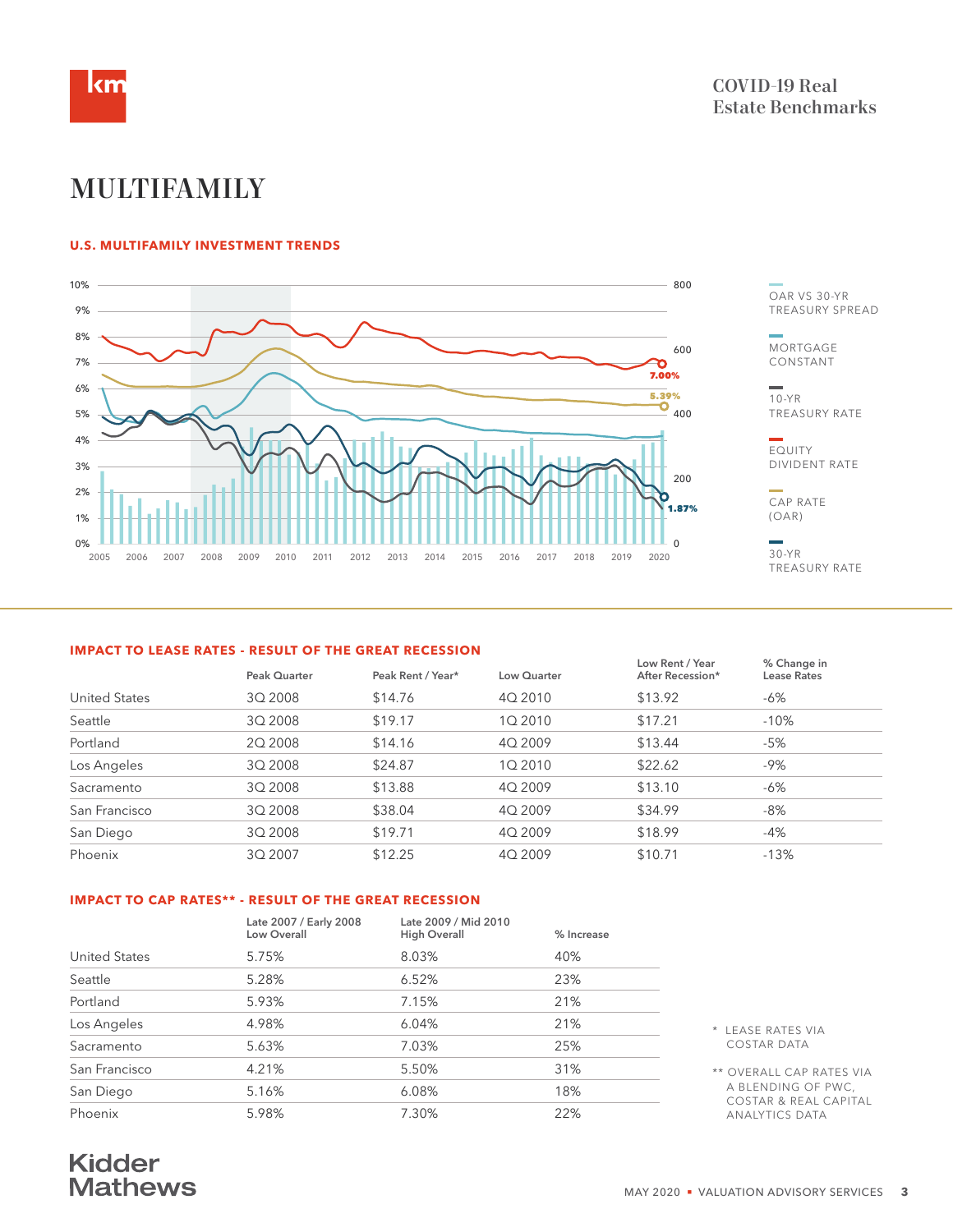

# MULTIFAMILY

#### **U.S. MULTIFAMILY INVESTMENT TRENDS**



OAR VS 30-YR TREASURY SPREAD

**MORTGAGE** CONSTANT

10-YR TREASURY RATE

EQUITY DIVIDENT RATE

CAP RATE (OAR)

30-YR TREASURY RATE

#### **IMPACT TO LEASE RATES - RESULT OF THE GREAT RECESSION**

|                      |              |                   |             | Low Rent / Year  | % Change in |
|----------------------|--------------|-------------------|-------------|------------------|-------------|
|                      | Peak Quarter | Peak Rent / Year* | Low Quarter | After Recession* | Lease Rates |
| <b>United States</b> | 3Q 2008      | \$14.76           | 4Q 2010     | \$13.92          | -6%         |
| Seattle              | 3Q 2008      | \$19.17           | 1Q 2010     | \$17.21          | $-10%$      |
| Portland             | 20 2008      | \$14.16           | 4Q 2009     | \$13.44          | $-5%$       |
| Los Angeles          | 3Q 2008      | \$24.87           | 1Q 2010     | \$22.62          | $-9%$       |
| Sacramento           | 3Q 2008      | \$13.88           | 4Q 2009     | \$13.10          | -6%         |
| San Francisco        | 3Q 2008      | \$38.04           | 4Q 2009     | \$34.99          | $-8%$       |
| San Diego            | 3Q 2008      | \$19.71           | 4Q 2009     | \$18.99          | -4%         |
| Phoenix              | 3Q 2007      | \$12.25           | 4Q 2009     | \$10.71          | $-13%$      |
|                      |              |                   |             |                  |             |

#### **IMPACT TO CAP RATES\*\* - RESULT OF THE GREAT RECESSION**

|                      | Late 2007 / Early 2008<br>Low Overall | Late 2009 / Mid 2010<br><b>High Overall</b> | % Increase |                                                        |
|----------------------|---------------------------------------|---------------------------------------------|------------|--------------------------------------------------------|
| <b>United States</b> | 5.75%                                 | 8.03%                                       | 40%        |                                                        |
| Seattle              | 5.28%                                 | 6.52%                                       | 23%        |                                                        |
| Portland             | 5.93%                                 | 7.15%                                       | 21%        |                                                        |
| Los Angeles          | 4.98%                                 | 6.04%                                       | 21%        | * LEASE RATES VIA                                      |
| Sacramento           | 5.63%                                 | 7.03%                                       | 25%        | <b>COSTAR DATA</b>                                     |
| San Francisco        | 4.21%                                 | 5.50%                                       | 31%        | ** OVERALL CAP RATES VIA                               |
| San Diego            | 5.16%                                 | 6.08%                                       | 18%        | A BLENDING OF PWC,<br><b>COSTAR &amp; REAL CAPITAL</b> |
| Phoenix              | 5.98%                                 | 7.30%                                       | 22%        | <b>ANALYTICS DATA</b>                                  |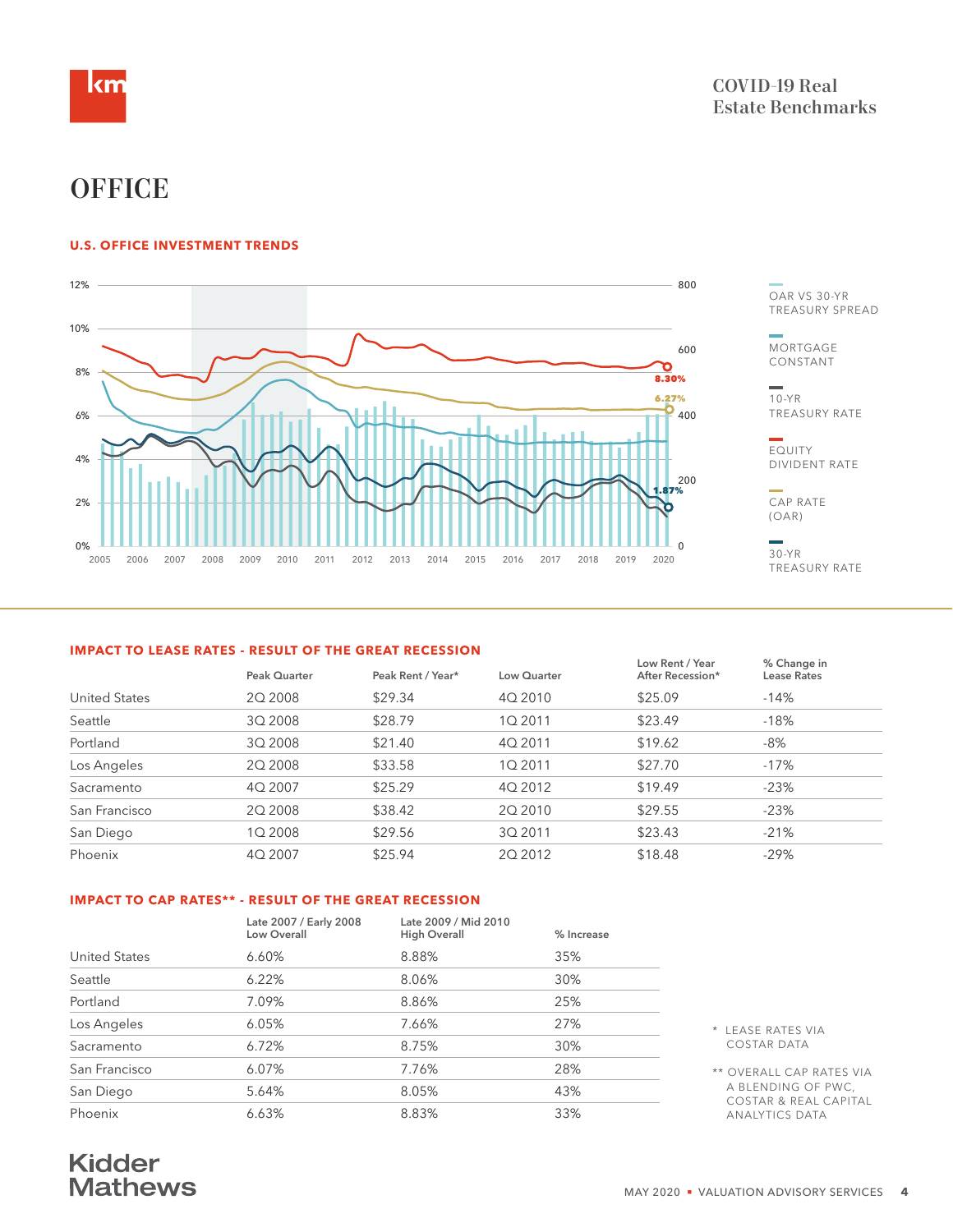

# **OFFICE**

#### **U.S. OFFICE INVESTMENT TRENDS**



**Mortgage Constant Capitalization Rate (OAR)**

OAR VS 30-YR TREASURY SPREAD

**MORTGAGE** CONSTANT

10-YR TREASURY RATE

EQUITY DIVIDENT RATE

CAP RATE (OAR)

30-YR TREASURY RATE

#### **IMPACT TO LEASE RATES - RESULT OF THE GREAT RECESSION**

|                      |              |                   |             | Low Rent / Year  | % Change in |
|----------------------|--------------|-------------------|-------------|------------------|-------------|
|                      | Peak Quarter | Peak Rent / Year* | Low Quarter | After Recession* | Lease Rates |
| <b>United States</b> | 20 2008      | \$29.34           | 4Q 2010     | \$25.09          | $-14%$      |
| Seattle              | 3Q 2008      | \$28.79           | 1Q 2011     | \$23.49          | $-18%$      |
| Portland             | 3Q 2008      | \$21.40           | 4Q 2011     | \$19.62          | -8%         |
| Los Angeles          | 20 2008      | \$33.58           | 1Q 2011     | \$27.70          | $-17%$      |
| Sacramento           | 4Q 2007      | \$25.29           | 4Q 2012     | \$19.49          | $-23%$      |
| San Francisco        | 20 2008      | \$38.42           | 2Q 2010     | \$29.55          | $-23%$      |
| San Diego            | 1Q 2008      | \$29.56           | 3Q 2011     | \$23.43          | $-21%$      |
| Phoenix              | 4Q 2007      | \$25.94           | 2Q 2012     | \$18.48          | $-29%$      |
|                      |              |                   |             |                  |             |

#### **IMPACT TO CAP RATES\*\* - RESULT OF THE GREAT RECESSION**

|                      | Late 2007 / Early 2008<br>Low Overall | Late 2009 / Mid 2010<br><b>High Overall</b> | % Increase |                                                        |
|----------------------|---------------------------------------|---------------------------------------------|------------|--------------------------------------------------------|
| <b>United States</b> | 6.60%                                 | 8.88%                                       | 35%        |                                                        |
| Seattle              | 6.22%                                 | 8.06%                                       | 30%        |                                                        |
| Portland             | 7.09%                                 | 8.86%                                       | 25%        |                                                        |
| Los Angeles          | 6.05%                                 | 7.66%                                       | 27%        | * LEASE RATES VIA                                      |
| Sacramento           | 6.72%                                 | 8.75%                                       | 30%        | COSTAR DATA                                            |
| San Francisco        | 6.07%                                 | 7.76%                                       | 28%        | ** OVERALL CAP RATES VIA                               |
| San Diego            | 5.64%                                 | 8.05%                                       | 43%        | A BLENDING OF PWC,<br><b>COSTAR &amp; REAL CAPITAL</b> |
| Phoenix              | 6.63%                                 | 8.83%                                       | 33%        | <b>ANALYTICS DATA</b>                                  |